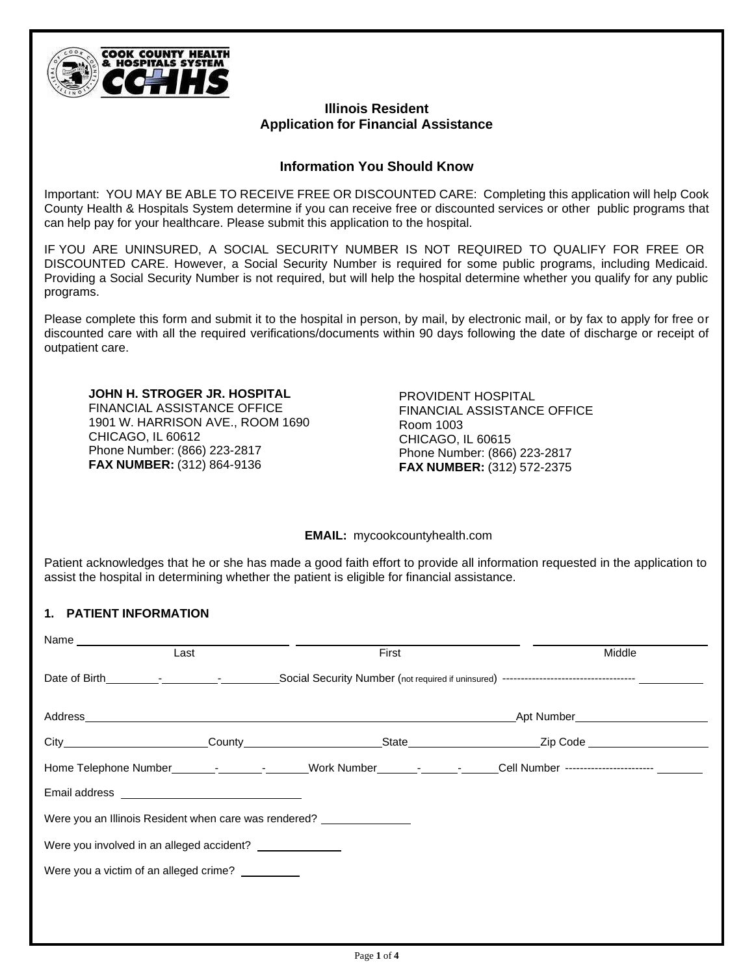

## **Illinois Resident Application for Financial Assistance**

## **Information You Should Know**

Important: YOU MAY BE ABLE TO RECEIVE FREE OR DISCOUNTED CARE: Completing this application will help Cook County Health & Hospitals System determine if you can receive free or discounted services or other public programs that can help pay for your healthcare. Please submit this application to the hospital.

IF YOU ARE UNINSURED, A SOCIAL SECURITY NUMBER IS NOT REQUIRED TO QUALIFY FOR FREE OR DISCOUNTED CARE. However, a Social Security Number is required for some public programs, including Medicaid. Providing a Social Security Number is not required, but will help the hospital determine whether you qualify for any public programs.

Please complete this form and submit it to the hospital in person, by mail, by electronic mail, or by fax to apply for free or discounted care with all the required verifications/documents within 90 days following the date of discharge or receipt of outpatient care.

**JOHN H. STROGER JR. HOSPITAL** FINANCIAL ASSISTANCE OFFICE 1901 W. HARRISON AVE., ROOM 1690 CHICAGO, IL 60612 Phone Number: (866) 223-2817 **FAX NUMBER:** (312) 864-9136

PROVIDENT HOSPITAL FINANCIAL ASSISTANCE OFFICE Room 1003 CHICAGO, IL 60615 Phone Number: (866) 223-2817 **FAX NUMBER:** (312) 572-2375

**EMAIL:** mycookcountyhealth.com

Patient acknowledges that he or she has made a good faith effort to provide all information requested in the application to assist the hospital in determining whether the patient is eligible for financial assistance.

## **1. PATIENT INFORMATION**

| Last                                                  | First | Middle                                                                                                            |
|-------------------------------------------------------|-------|-------------------------------------------------------------------------------------------------------------------|
|                                                       |       |                                                                                                                   |
|                                                       |       |                                                                                                                   |
|                                                       |       |                                                                                                                   |
|                                                       |       | Home Telephone Number_____________________Work Number_________________Cell Number ----------------------- _______ |
|                                                       |       |                                                                                                                   |
| Were you an Illinois Resident when care was rendered? |       |                                                                                                                   |
| Were you involved in an alleged accident?             |       |                                                                                                                   |
| Were you a victim of an alleged crime?                |       |                                                                                                                   |
|                                                       |       |                                                                                                                   |
|                                                       |       |                                                                                                                   |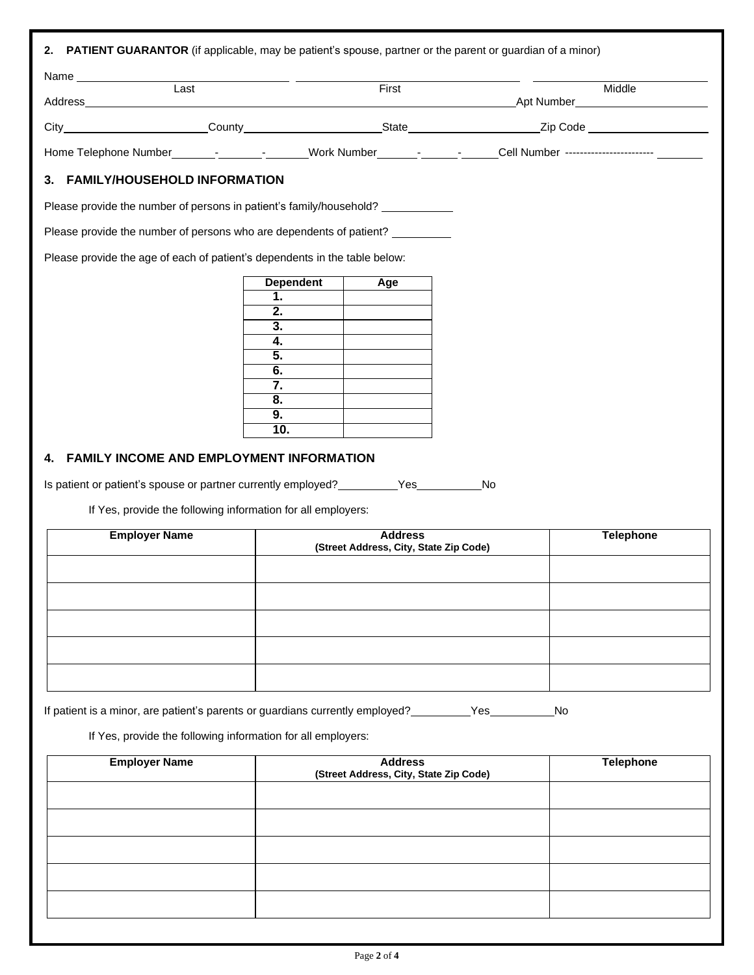| Last                                                                                                           |                                                                               | First                                                    |    | Middle                                       |
|----------------------------------------------------------------------------------------------------------------|-------------------------------------------------------------------------------|----------------------------------------------------------|----|----------------------------------------------|
|                                                                                                                |                                                                               |                                                          |    | Apt Number <u>__________________________</u> |
|                                                                                                                |                                                                               |                                                          |    |                                              |
| Home Telephone Number______________________Work Number_____________________Cell Number ----------------------_ |                                                                               |                                                          |    |                                              |
| 3. FAMILY/HOUSEHOLD INFORMATION                                                                                |                                                                               |                                                          |    |                                              |
| Please provide the number of persons in patient's family/household? ____________                               |                                                                               |                                                          |    |                                              |
| Please provide the number of persons who are dependents of patient? __________                                 |                                                                               |                                                          |    |                                              |
| Please provide the age of each of patient's dependents in the table below:                                     |                                                                               |                                                          |    |                                              |
|                                                                                                                | <b>Dependent</b><br>1.<br>2.<br>3.<br>4.<br>5.<br>6.<br>7.<br>8.<br>9.<br>10. | Age                                                      |    |                                              |
| FAMILY INCOME AND EMPLOYMENT INFORMATION<br>4.                                                                 |                                                                               |                                                          |    |                                              |
| Is patient or patient's spouse or partner currently employed?                                                  |                                                                               | Yes                                                      | No |                                              |
| If Yes, provide the following information for all employers:                                                   |                                                                               |                                                          |    |                                              |
| <b>Employer Name</b>                                                                                           |                                                                               | <b>Address</b><br>(Street Address, City, State Zip Code) |    | <b>Telephone</b>                             |
|                                                                                                                |                                                                               |                                                          |    |                                              |
|                                                                                                                |                                                                               |                                                          |    |                                              |
|                                                                                                                |                                                                               |                                                          |    |                                              |
|                                                                                                                |                                                                               |                                                          |    |                                              |
|                                                                                                                |                                                                               |                                                          |    |                                              |
|                                                                                                                |                                                                               |                                                          |    |                                              |
| If patient is a minor, are patient's parents or guardians currently employed? ____________Yes____              |                                                                               |                                                          |    | No                                           |
| If Yes, provide the following information for all employers:                                                   |                                                                               |                                                          |    |                                              |
| <b>Employer Name</b>                                                                                           |                                                                               | <b>Address</b><br>(Street Address, City, State Zip Code) |    | <b>Telephone</b>                             |
|                                                                                                                |                                                                               |                                                          |    |                                              |
|                                                                                                                |                                                                               |                                                          |    |                                              |
|                                                                                                                |                                                                               |                                                          |    |                                              |
|                                                                                                                |                                                                               |                                                          |    |                                              |
|                                                                                                                |                                                                               |                                                          |    |                                              |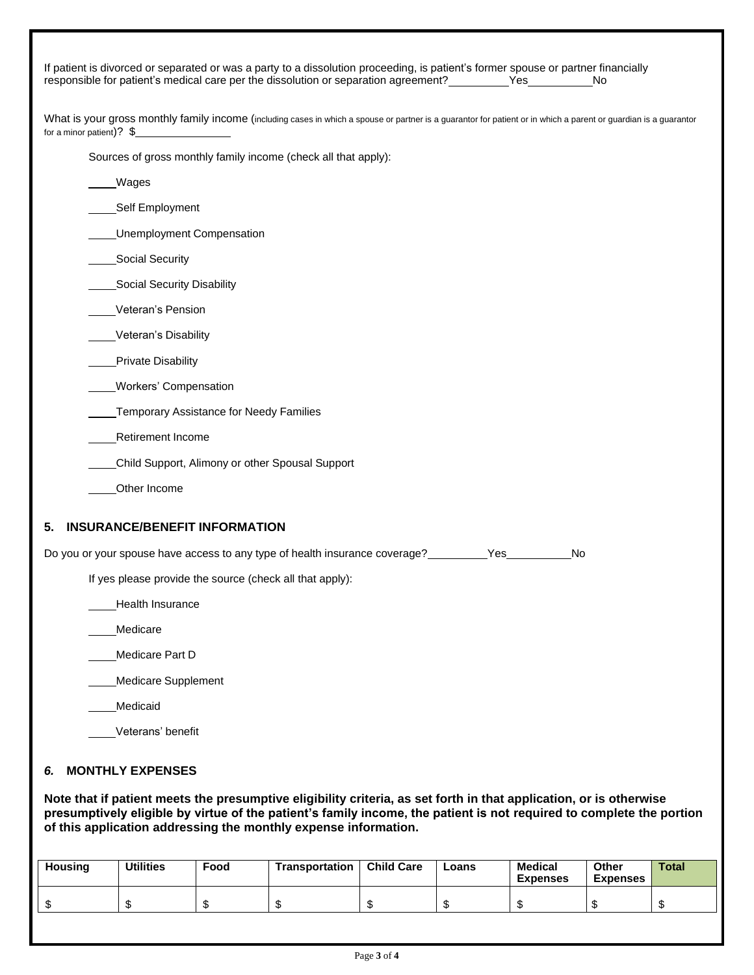| If patient is divorced or separated or was a party to a dissolution proceeding, is patient's former spouse or partner financially<br>responsible for patient's medical care per the dissolution or separation agreement?<br>Yes<br>No.                                                                        |
|---------------------------------------------------------------------------------------------------------------------------------------------------------------------------------------------------------------------------------------------------------------------------------------------------------------|
| What is your gross monthly family income (including cases in which a spouse or partner is a guarantor for patient or in which a parent or guardian is a guarantor<br>for a minor patient)? $\frac{1}{2}$                                                                                                      |
| Sources of gross monthly family income (check all that apply):                                                                                                                                                                                                                                                |
| Wages                                                                                                                                                                                                                                                                                                         |
| Self Employment                                                                                                                                                                                                                                                                                               |
| <b>Unemployment Compensation</b>                                                                                                                                                                                                                                                                              |
| Social Security                                                                                                                                                                                                                                                                                               |
| Social Security Disability                                                                                                                                                                                                                                                                                    |
| Veteran's Pension                                                                                                                                                                                                                                                                                             |
| Veteran's Disability                                                                                                                                                                                                                                                                                          |
| Private Disability                                                                                                                                                                                                                                                                                            |
| Workers' Compensation                                                                                                                                                                                                                                                                                         |
| Temporary Assistance for Needy Families                                                                                                                                                                                                                                                                       |
| <b>Retirement Income</b>                                                                                                                                                                                                                                                                                      |
| Child Support, Alimony or other Spousal Support                                                                                                                                                                                                                                                               |
| Other Income                                                                                                                                                                                                                                                                                                  |
| <b>INSURANCE/BENEFIT INFORMATION</b><br>5.                                                                                                                                                                                                                                                                    |
| Do you or your spouse have access to any type of health insurance coverage?___________Yes___<br>No                                                                                                                                                                                                            |
| If yes please provide the source (check all that apply):                                                                                                                                                                                                                                                      |
| Health Insurance                                                                                                                                                                                                                                                                                              |
| Medicare                                                                                                                                                                                                                                                                                                      |
| Medicare Part D                                                                                                                                                                                                                                                                                               |
| <b>Medicare Supplement</b>                                                                                                                                                                                                                                                                                    |
| Medicaid                                                                                                                                                                                                                                                                                                      |
| Veterans' benefit                                                                                                                                                                                                                                                                                             |
| <b>MONTHLY EXPENSES</b><br>6.                                                                                                                                                                                                                                                                                 |
| Note that if patient meets the presumptive eligibility criteria, as set forth in that application, or is otherwise<br>presumptively eligible by virtue of the patient's family income, the patient is not required to complete the portion<br>of this application addressing the monthly expense information. |

| <b>Housing</b> | <b>Utilities</b> | Food | <b>Transportation</b> | <b>Child Care</b> | Loans | Medical<br><b>Expenses</b> | Other<br><b>Expenses</b> | Total |
|----------------|------------------|------|-----------------------|-------------------|-------|----------------------------|--------------------------|-------|
| ₼<br>۰D        |                  |      |                       | мD                |       |                            |                          |       |
|                |                  |      |                       |                   |       |                            |                          |       |